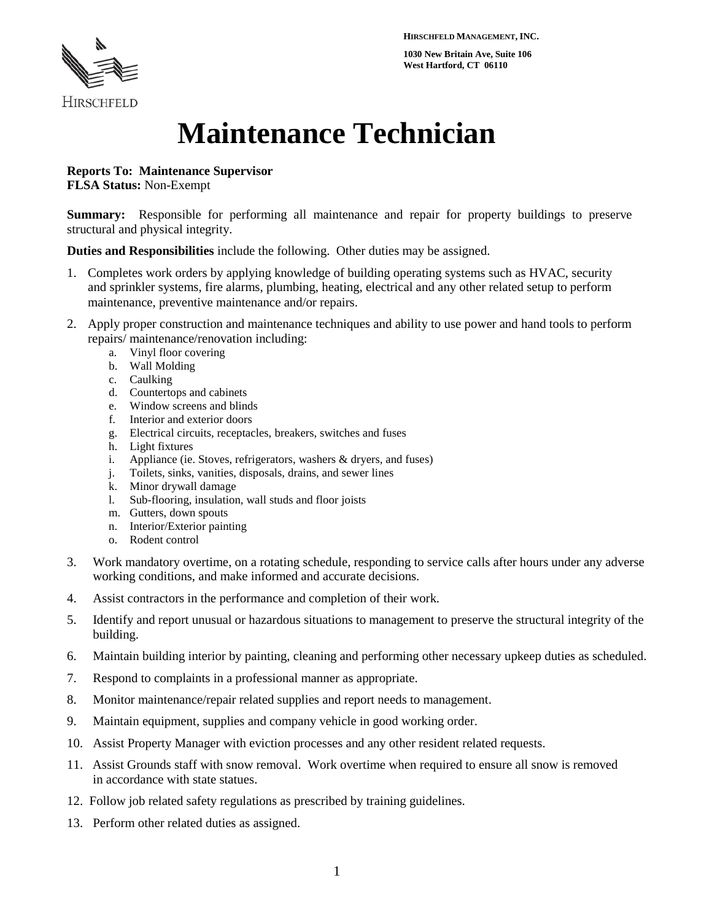**HIRSCHFELD MANAGEMENT, INC.**

**1030 New Britain Ave, Suite 106 West Hartford, CT 06110**



# **Maintenance Technician**

**Reports To: Maintenance Supervisor**

**FLSA Status:** Non-Exempt

**Summary:** Responsible for performing all maintenance and repair for property buildings to preserve structural and physical integrity.

**Duties and Responsibilities** include the following. Other duties may be assigned.

- 1. Completes work orders by applying knowledge of building operating systems such as HVAC, security and sprinkler systems, fire alarms, plumbing, heating, electrical and any other related setup to perform maintenance, preventive maintenance and/or repairs.
- 2. Apply proper construction and maintenance techniques and ability to use power and hand tools to perform repairs/ maintenance/renovation including:
	- a. Vinyl floor covering
	- b. Wall Molding
	- c. Caulking
	- d. Countertops and cabinets
	- e. Window screens and blinds
	- f. Interior and exterior doors
	- g. Electrical circuits, receptacles, breakers, switches and fuses
	- h. Light fixtures
	- i. Appliance (ie. Stoves, refrigerators, washers & dryers, and fuses)
	- j. Toilets, sinks, vanities, disposals, drains, and sewer lines
	- k. Minor drywall damage
	- l. Sub-flooring, insulation, wall studs and floor joists
	- m. Gutters, down spouts
	- n. Interior/Exterior painting
	- o. Rodent control
- 3. Work mandatory overtime, on a rotating schedule, responding to service calls after hours under any adverse working conditions, and make informed and accurate decisions.
- 4. Assist contractors in the performance and completion of their work.
- 5. Identify and report unusual or hazardous situations to management to preserve the structural integrity of the building.
- 6. Maintain building interior by painting, cleaning and performing other necessary upkeep duties as scheduled.
- 7. Respond to complaints in a professional manner as appropriate.
- 8. Monitor maintenance/repair related supplies and report needs to management.
- 9. Maintain equipment, supplies and company vehicle in good working order.
- 10. Assist Property Manager with eviction processes and any other resident related requests.
- 11. Assist Grounds staff with snow removal. Work overtime when required to ensure all snow is removed in accordance with state statues.
- 12. Follow job related safety regulations as prescribed by training guidelines.
- 13. Perform other related duties as assigned.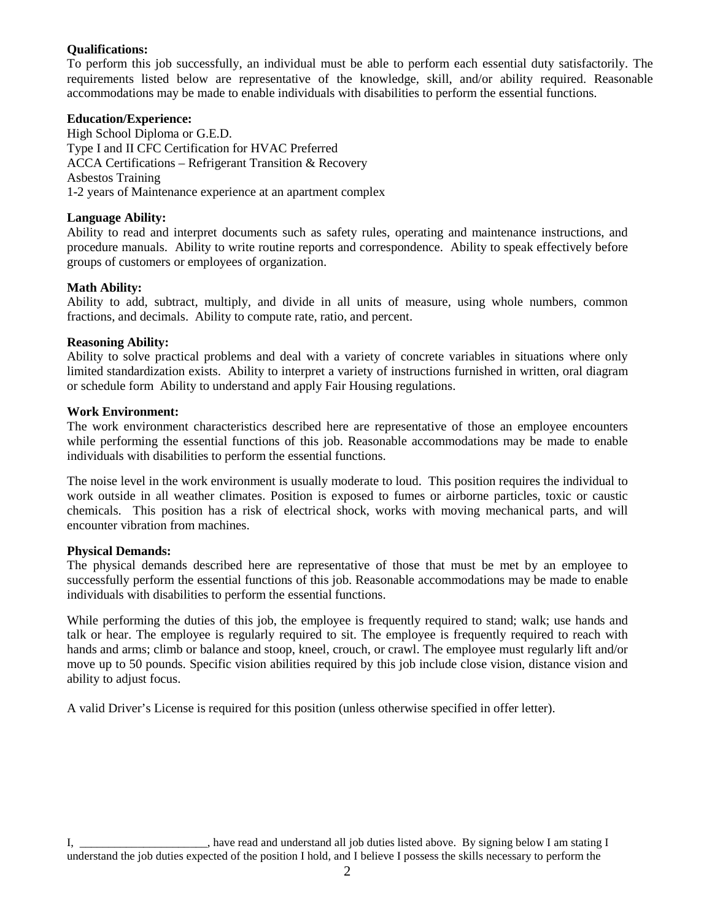#### **Qualifications:**

To perform this job successfully, an individual must be able to perform each essential duty satisfactorily. The requirements listed below are representative of the knowledge, skill, and/or ability required. Reasonable accommodations may be made to enable individuals with disabilities to perform the essential functions.

#### **Education/Experience:**

High School Diploma or G.E.D. Type I and II CFC Certification for HVAC Preferred ACCA Certifications – Refrigerant Transition & Recovery Asbestos Training 1-2 years of Maintenance experience at an apartment complex

## **Language Ability:**

Ability to read and interpret documents such as safety rules, operating and maintenance instructions, and procedure manuals. Ability to write routine reports and correspondence. Ability to speak effectively before groups of customers or employees of organization.

## **Math Ability:**

Ability to add, subtract, multiply, and divide in all units of measure, using whole numbers, common fractions, and decimals. Ability to compute rate, ratio, and percent.

#### **Reasoning Ability:**

Ability to solve practical problems and deal with a variety of concrete variables in situations where only limited standardization exists. Ability to interpret a variety of instructions furnished in written, oral diagram or schedule form Ability to understand and apply Fair Housing regulations.

#### **Work Environment:**

The work environment characteristics described here are representative of those an employee encounters while performing the essential functions of this job. Reasonable accommodations may be made to enable individuals with disabilities to perform the essential functions.

The noise level in the work environment is usually moderate to loud. This position requires the individual to work outside in all weather climates. Position is exposed to fumes or airborne particles, toxic or caustic chemicals. This position has a risk of electrical shock, works with moving mechanical parts, and will encounter vibration from machines.

## **Physical Demands:**

The physical demands described here are representative of those that must be met by an employee to successfully perform the essential functions of this job. Reasonable accommodations may be made to enable individuals with disabilities to perform the essential functions.

While performing the duties of this job, the employee is frequently required to stand; walk; use hands and talk or hear. The employee is regularly required to sit. The employee is frequently required to reach with hands and arms; climb or balance and stoop, kneel, crouch, or crawl. The employee must regularly lift and/or move up to 50 pounds. Specific vision abilities required by this job include close vision, distance vision and ability to adjust focus.

A valid Driver's License is required for this position (unless otherwise specified in offer letter).

I, \_\_\_\_\_\_\_\_\_\_\_\_\_\_\_\_\_\_\_\_\_\_, have read and understand all job duties listed above. By signing below I am stating I understand the job duties expected of the position I hold, and I believe I possess the skills necessary to perform the